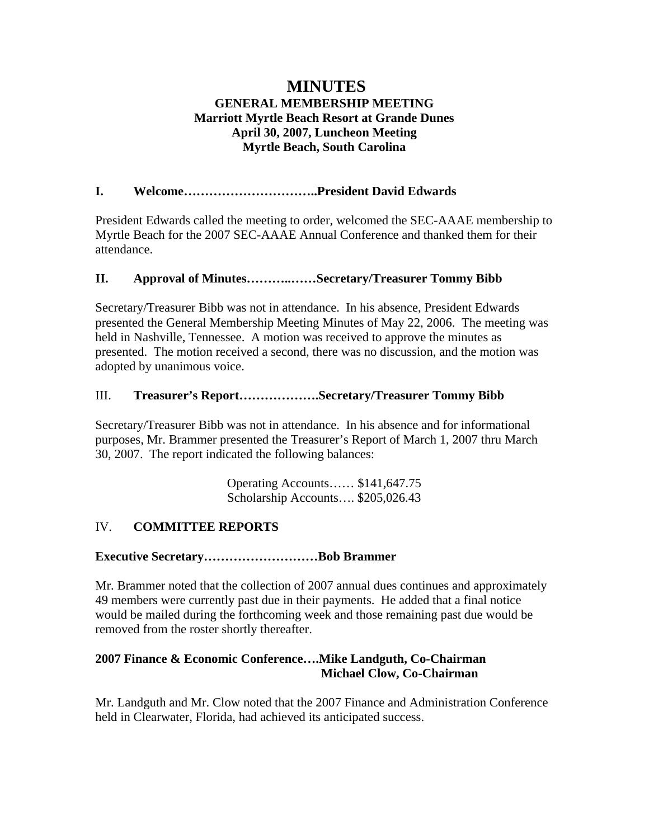# **MINUTES GENERAL MEMBERSHIP MEETING Marriott Myrtle Beach Resort at Grande Dunes April 30, 2007, Luncheon Meeting Myrtle Beach, South Carolina**

## **I. Welcome…………………………..President David Edwards**

President Edwards called the meeting to order, welcomed the SEC-AAAE membership to Myrtle Beach for the 2007 SEC-AAAE Annual Conference and thanked them for their attendance.

### **II. Approval of Minutes………..……Secretary/Treasurer Tommy Bibb**

Secretary/Treasurer Bibb was not in attendance. In his absence, President Edwards presented the General Membership Meeting Minutes of May 22, 2006. The meeting was held in Nashville, Tennessee. A motion was received to approve the minutes as presented. The motion received a second, there was no discussion, and the motion was adopted by unanimous voice.

## III. **Treasurer's Report……………….Secretary/Treasurer Tommy Bibb**

Secretary/Treasurer Bibb was not in attendance. In his absence and for informational purposes, Mr. Brammer presented the Treasurer's Report of March 1, 2007 thru March 30, 2007. The report indicated the following balances:

> Operating Accounts…… \$141,647.75 Scholarship Accounts…. \$205,026.43

# IV. **COMMITTEE REPORTS**

### **Executive Secretary………………………Bob Brammer**

Mr. Brammer noted that the collection of 2007 annual dues continues and approximately 49 members were currently past due in their payments. He added that a final notice would be mailed during the forthcoming week and those remaining past due would be removed from the roster shortly thereafter.

### **2007 Finance & Economic Conference….Mike Landguth, Co-Chairman Michael Clow, Co-Chairman**

Mr. Landguth and Mr. Clow noted that the 2007 Finance and Administration Conference held in Clearwater, Florida, had achieved its anticipated success.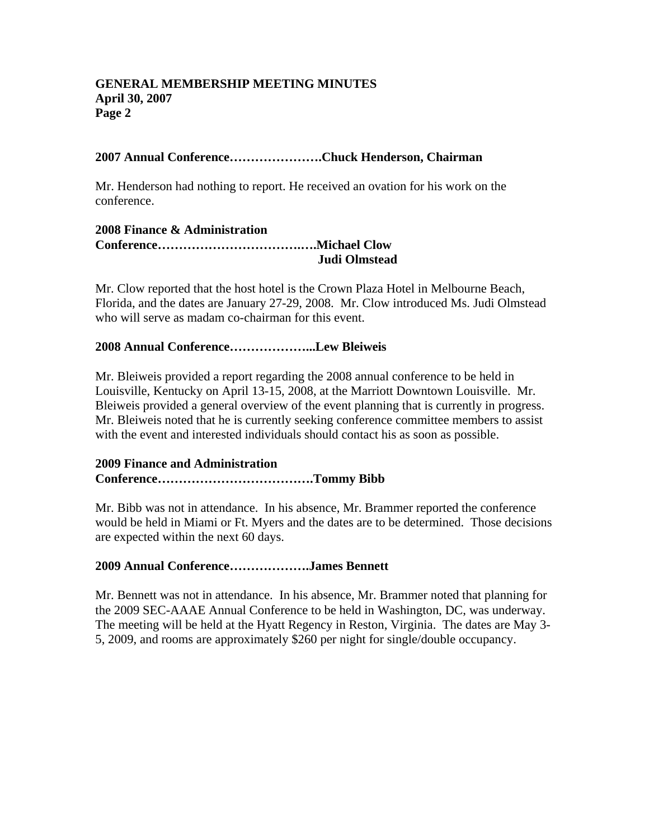## **2007 Annual Conference………………….Chuck Henderson, Chairman**

Mr. Henderson had nothing to report. He received an ovation for his work on the conference.

#### **2008 Finance & Administration Conference…………………………….….Michael Clow Judi Olmstead**

Mr. Clow reported that the host hotel is the Crown Plaza Hotel in Melbourne Beach, Florida, and the dates are January 27-29, 2008. Mr. Clow introduced Ms. Judi Olmstead who will serve as madam co-chairman for this event.

## **2008 Annual Conference………………...Lew Bleiweis**

Mr. Bleiweis provided a report regarding the 2008 annual conference to be held in Louisville, Kentucky on April 13-15, 2008, at the Marriott Downtown Louisville. Mr. Bleiweis provided a general overview of the event planning that is currently in progress. Mr. Bleiweis noted that he is currently seeking conference committee members to assist with the event and interested individuals should contact his as soon as possible.

## **2009 Finance and Administration Conference……………………………….Tommy Bibb**

Mr. Bibb was not in attendance. In his absence, Mr. Brammer reported the conference would be held in Miami or Ft. Myers and the dates are to be determined. Those decisions are expected within the next 60 days.

### **2009 Annual Conference……………….James Bennett**

Mr. Bennett was not in attendance. In his absence, Mr. Brammer noted that planning for the 2009 SEC-AAAE Annual Conference to be held in Washington, DC, was underway. The meeting will be held at the Hyatt Regency in Reston, Virginia. The dates are May 3- 5, 2009, and rooms are approximately \$260 per night for single/double occupancy.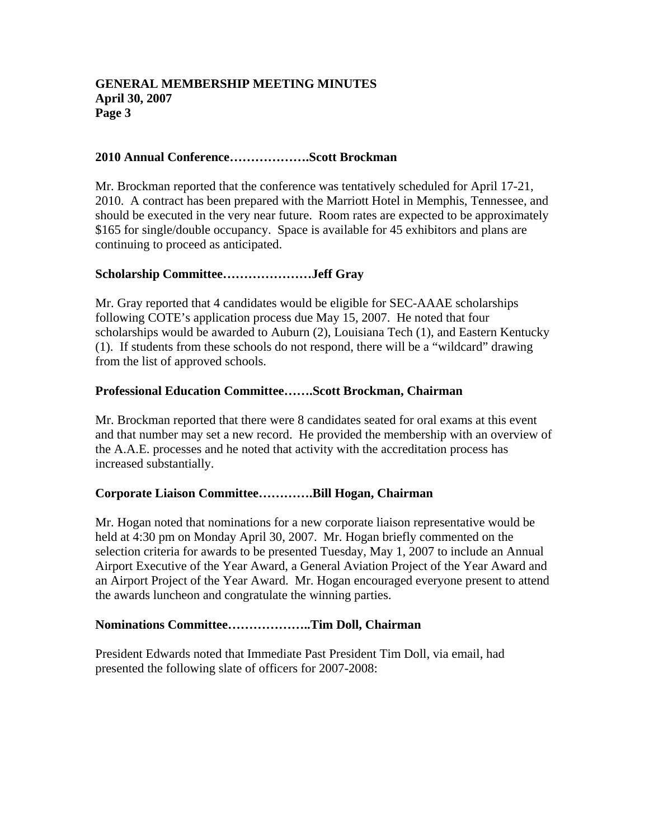# **2010 Annual Conference……………….Scott Brockman**

Mr. Brockman reported that the conference was tentatively scheduled for April 17-21, 2010. A contract has been prepared with the Marriott Hotel in Memphis, Tennessee, and should be executed in the very near future. Room rates are expected to be approximately \$165 for single/double occupancy. Space is available for 45 exhibitors and plans are continuing to proceed as anticipated.

## **Scholarship Committee…………………Jeff Gray**

Mr. Gray reported that 4 candidates would be eligible for SEC-AAAE scholarships following COTE's application process due May 15, 2007. He noted that four scholarships would be awarded to Auburn (2), Louisiana Tech (1), and Eastern Kentucky (1). If students from these schools do not respond, there will be a "wildcard" drawing from the list of approved schools.

## **Professional Education Committee…….Scott Brockman, Chairman**

Mr. Brockman reported that there were 8 candidates seated for oral exams at this event and that number may set a new record. He provided the membership with an overview of the A.A.E. processes and he noted that activity with the accreditation process has increased substantially.

### **Corporate Liaison Committee………….Bill Hogan, Chairman**

Mr. Hogan noted that nominations for a new corporate liaison representative would be held at 4:30 pm on Monday April 30, 2007. Mr. Hogan briefly commented on the selection criteria for awards to be presented Tuesday, May 1, 2007 to include an Annual Airport Executive of the Year Award, a General Aviation Project of the Year Award and an Airport Project of the Year Award. Mr. Hogan encouraged everyone present to attend the awards luncheon and congratulate the winning parties.

### **Nominations Committee………………..Tim Doll, Chairman**

President Edwards noted that Immediate Past President Tim Doll, via email, had presented the following slate of officers for 2007-2008: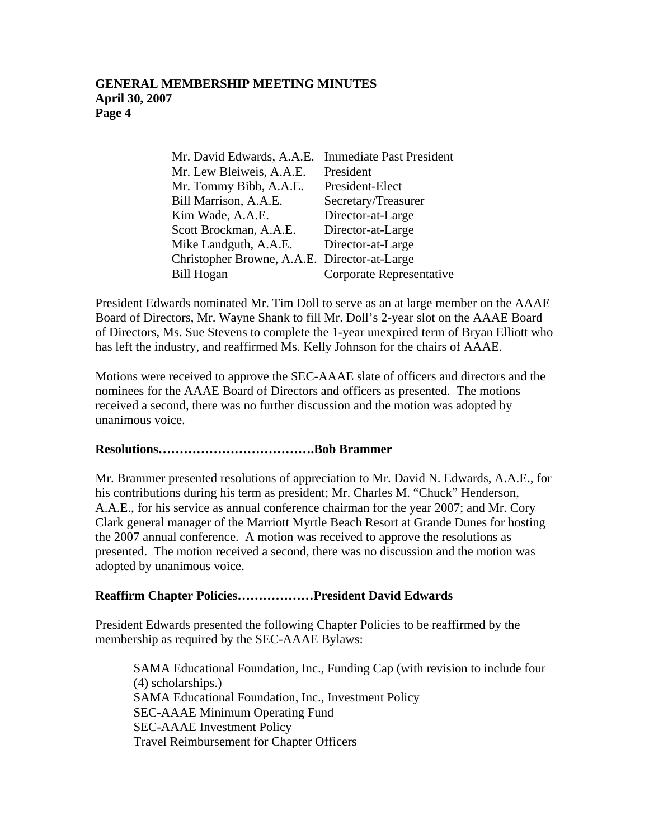| Mr. David Edwards, A.A.E.                    | <b>Immediate Past President</b> |
|----------------------------------------------|---------------------------------|
| Mr. Lew Bleiweis, A.A.E.                     | President                       |
| Mr. Tommy Bibb, A.A.E.                       | President-Elect                 |
| Bill Marrison, A.A.E.                        | Secretary/Treasurer             |
| Kim Wade, A.A.E.                             | Director-at-Large               |
| Scott Brockman, A.A.E.                       | Director-at-Large               |
| Mike Landguth, A.A.E.                        | Director-at-Large               |
| Christopher Browne, A.A.E. Director-at-Large |                                 |
| <b>Bill Hogan</b>                            | Corporate Representative        |

President Edwards nominated Mr. Tim Doll to serve as an at large member on the AAAE Board of Directors, Mr. Wayne Shank to fill Mr. Doll's 2-year slot on the AAAE Board of Directors, Ms. Sue Stevens to complete the 1-year unexpired term of Bryan Elliott who has left the industry, and reaffirmed Ms. Kelly Johnson for the chairs of AAAE.

Motions were received to approve the SEC-AAAE slate of officers and directors and the nominees for the AAAE Board of Directors and officers as presented. The motions received a second, there was no further discussion and the motion was adopted by unanimous voice.

# **Resolutions……………………………….Bob Brammer**

Mr. Brammer presented resolutions of appreciation to Mr. David N. Edwards, A.A.E., for his contributions during his term as president; Mr. Charles M. "Chuck" Henderson, A.A.E., for his service as annual conference chairman for the year 2007; and Mr. Cory Clark general manager of the Marriott Myrtle Beach Resort at Grande Dunes for hosting the 2007 annual conference. A motion was received to approve the resolutions as presented. The motion received a second, there was no discussion and the motion was adopted by unanimous voice.

# **Reaffirm Chapter Policies………………President David Edwards**

President Edwards presented the following Chapter Policies to be reaffirmed by the membership as required by the SEC-AAAE Bylaws:

SAMA Educational Foundation, Inc., Funding Cap (with revision to include four (4) scholarships.) SAMA Educational Foundation, Inc., Investment Policy SEC-AAAE Minimum Operating Fund SEC-AAAE Investment Policy Travel Reimbursement for Chapter Officers